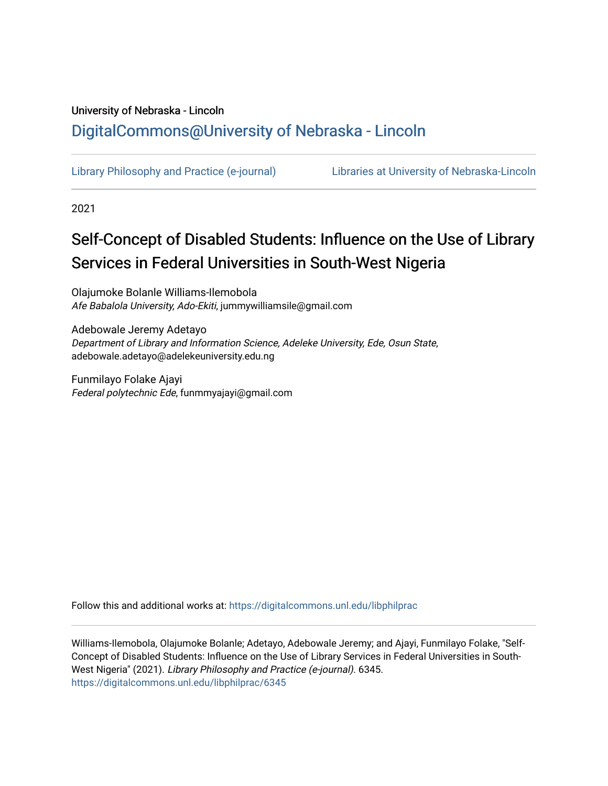# University of Nebraska - Lincoln [DigitalCommons@University of Nebraska - Lincoln](https://digitalcommons.unl.edu/)

[Library Philosophy and Practice \(e-journal\)](https://digitalcommons.unl.edu/libphilprac) [Libraries at University of Nebraska-Lincoln](https://digitalcommons.unl.edu/libraries) 

2021

# Self-Concept of Disabled Students: Influence on the Use of Library Services in Federal Universities in South-West Nigeria

Olajumoke Bolanle Williams-Ilemobola Afe Babalola University, Ado-Ekiti, jummywilliamsile@gmail.com

Adebowale Jeremy Adetayo Department of Library and Information Science, Adeleke University, Ede, Osun State, adebowale.adetayo@adelekeuniversity.edu.ng

Funmilayo Folake Ajayi Federal polytechnic Ede, funmmyajayi@gmail.com

Follow this and additional works at: [https://digitalcommons.unl.edu/libphilprac](https://digitalcommons.unl.edu/libphilprac?utm_source=digitalcommons.unl.edu%2Flibphilprac%2F6345&utm_medium=PDF&utm_campaign=PDFCoverPages) 

Williams-Ilemobola, Olajumoke Bolanle; Adetayo, Adebowale Jeremy; and Ajayi, Funmilayo Folake, "Self-Concept of Disabled Students: Influence on the Use of Library Services in Federal Universities in South-West Nigeria" (2021). Library Philosophy and Practice (e-journal). 6345. [https://digitalcommons.unl.edu/libphilprac/6345](https://digitalcommons.unl.edu/libphilprac/6345?utm_source=digitalcommons.unl.edu%2Flibphilprac%2F6345&utm_medium=PDF&utm_campaign=PDFCoverPages)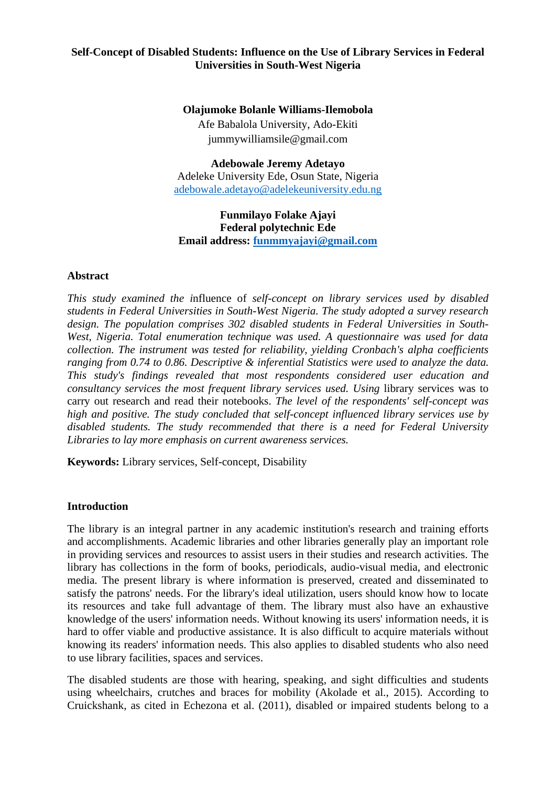# **Self-Concept of Disabled Students: Influence on the Use of Library Services in Federal Universities in South-West Nigeria**

# **Olajumoke Bolanle Williams-Ilemobola**

Afe Babalola University, Ado-Ekiti jummywilliamsile@gmail.com

**Adebowale Jeremy Adetayo** Adeleke University Ede, Osun State, Nigeria [adebowale.adetayo@adelekeuniversity.edu.ng](mailto:adebowale.adetayo@adelekeuniversity.edu.ng)

# **Funmilayo Folake Ajayi Federal polytechnic Ede Email address: [funmmyajayi@gmail.com](mailto:funmmyajayi@gmail.com)**

#### **Abstract**

*This study examined the i*nfluence of *self-concept on library services used by disabled students in Federal Universities in South-West Nigeria. The study adopted a survey research design. The population comprises 302 disabled students in Federal Universities in South-West, Nigeria. Total enumeration technique was used. A questionnaire was used for data collection. The instrument was tested for reliability, yielding Cronbach's alpha coefficients ranging from 0.74 to 0.86. Descriptive & inferential Statistics were used to analyze the data. This study's findings revealed that most respondents considered user education and consultancy services the most frequent library services used. Using library services was to* carry out research and read their notebooks. *The level of the respondents' self-concept was high and positive. The study concluded that self-concept influenced library services use by disabled students. The study recommended that there is a need for Federal University Libraries to lay more emphasis on current awareness services.* 

**Keywords:** Library services, Self-concept, Disability

# **Introduction**

The library is an integral partner in any academic institution's research and training efforts and accomplishments. Academic libraries and other libraries generally play an important role in providing services and resources to assist users in their studies and research activities. The library has collections in the form of books, periodicals, audio-visual media, and electronic media. The present library is where information is preserved, created and disseminated to satisfy the patrons' needs. For the library's ideal utilization, users should know how to locate its resources and take full advantage of them. The library must also have an exhaustive knowledge of the users' information needs. Without knowing its users' information needs, it is hard to offer viable and productive assistance. It is also difficult to acquire materials without knowing its readers' information needs. This also applies to disabled students who also need to use library facilities, spaces and services.

The disabled students are those with hearing, speaking, and sight difficulties and students using wheelchairs, crutches and braces for mobility (Akolade et al., 2015). According to Cruickshank, as cited in Echezona et al. (2011), disabled or impaired students belong to a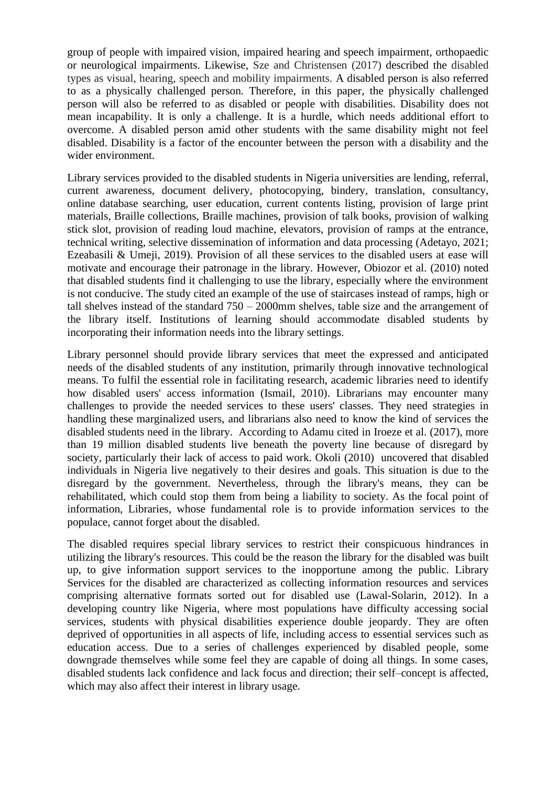group of people with impaired vision, impaired hearing and speech impairment, orthopaedic or neurological impairments. Likewise, Sze and Christensen (2017) described the disabled types as visual, hearing, speech and mobility impairments. A disabled person is also referred to as a physically challenged person. Therefore, in this paper, the physically challenged person will also be referred to as disabled or people with disabilities. Disability does not mean incapability. It is only a challenge. It is a hurdle, which needs additional effort to overcome. A disabled person amid other students with the same disability might not feel disabled. Disability is a factor of the encounter between the person with a disability and the wider environment.

Library services provided to the disabled students in Nigeria universities are lending, referral, current awareness, document delivery, photocopying, bindery, translation, consultancy, online database searching, user education, current contents listing, provision of large print materials, Braille collections, Braille machines, provision of talk books, provision of walking stick slot, provision of reading loud machine, elevators, provision of ramps at the entrance, technical writing, selective dissemination of information and data processing (Adetayo, 2021; Ezeabasili & Umeji, 2019). Provision of all these services to the disabled users at ease will motivate and encourage their patronage in the library. However, Obiozor et al. (2010) noted that disabled students find it challenging to use the library, especially where the environment is not conducive. The study cited an example of the use of staircases instead of ramps, high or tall shelves instead of the standard 750 – 2000mm shelves, table size and the arrangement of the library itself. Institutions of learning should accommodate disabled students by incorporating their information needs into the library settings.

Library personnel should provide library services that meet the expressed and anticipated needs of the disabled students of any institution, primarily through innovative technological means. To fulfil the essential role in facilitating research, academic libraries need to identify how disabled users' access information (Ismail, 2010). Librarians may encounter many challenges to provide the needed services to these users' classes. They need strategies in handling these marginalized users, and librarians also need to know the kind of services the disabled students need in the library. According to Adamu cited in Iroeze et al. (2017), more than 19 million disabled students live beneath the poverty line because of disregard by society, particularly their lack of access to paid work. Okoli (2010) uncovered that disabled individuals in Nigeria live negatively to their desires and goals. This situation is due to the disregard by the government. Nevertheless, through the library's means, they can be rehabilitated, which could stop them from being a liability to society. As the focal point of information, Libraries, whose fundamental role is to provide information services to the populace, cannot forget about the disabled.

The disabled requires special library services to restrict their conspicuous hindrances in utilizing the library's resources. This could be the reason the library for the disabled was built up, to give information support services to the inopportune among the public. Library Services for the disabled are characterized as collecting information resources and services comprising alternative formats sorted out for disabled use (Lawal-Solarin, 2012). In a developing country like Nigeria, where most populations have difficulty accessing social services, students with physical disabilities experience double jeopardy. They are often deprived of opportunities in all aspects of life, including access to essential services such as education access. Due to a series of challenges experienced by disabled people, some downgrade themselves while some feel they are capable of doing all things. In some cases, disabled students lack confidence and lack focus and direction; their self–concept is affected, which may also affect their interest in library usage.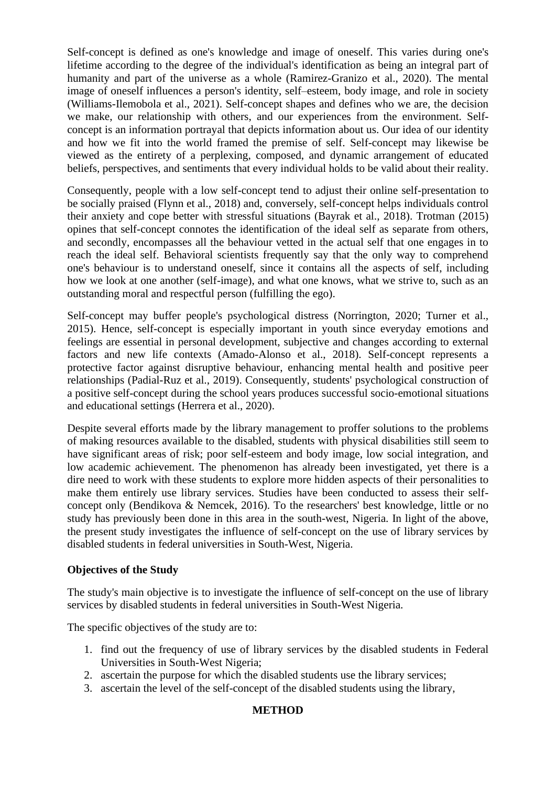Self-concept is defined as one's knowledge and image of oneself. This varies during one's lifetime according to the degree of the individual's identification as being an integral part of humanity and part of the universe as a whole (Ramirez-Granizo et al., 2020). The mental image of oneself influences a person's identity, self–esteem, body image, and role in society (Williams-Ilemobola et al., 2021). Self-concept shapes and defines who we are, the decision we make, our relationship with others, and our experiences from the environment. Selfconcept is an information portrayal that depicts information about us. Our idea of our identity and how we fit into the world framed the premise of self. Self-concept may likewise be viewed as the entirety of a perplexing, composed, and dynamic arrangement of educated beliefs, perspectives, and sentiments that every individual holds to be valid about their reality.

Consequently, people with a low self-concept tend to adjust their online self-presentation to be socially praised (Flynn et al., 2018) and, conversely, self-concept helps individuals control their anxiety and cope better with stressful situations (Bayrak et al., 2018). Trotman (2015) opines that self-concept connotes the identification of the ideal self as separate from others, and secondly, encompasses all the behaviour vetted in the actual self that one engages in to reach the ideal self. Behavioral scientists frequently say that the only way to comprehend one's behaviour is to understand oneself, since it contains all the aspects of self, including how we look at one another (self-image), and what one knows, what we strive to, such as an outstanding moral and respectful person (fulfilling the ego).

Self-concept may buffer people's psychological distress (Norrington, 2020; Turner et al., 2015). Hence, self-concept is especially important in youth since everyday emotions and feelings are essential in personal development, subjective and changes according to external factors and new life contexts (Amado-Alonso et al., 2018). Self-concept represents a protective factor against disruptive behaviour, enhancing mental health and positive peer relationships (Padial-Ruz et al., 2019). Consequently, students' psychological construction of a positive self-concept during the school years produces successful socio-emotional situations and educational settings (Herrera et al., 2020).

Despite several efforts made by the library management to proffer solutions to the problems of making resources available to the disabled, students with physical disabilities still seem to have significant areas of risk; poor self-esteem and body image, low social integration, and low academic achievement. The phenomenon has already been investigated, yet there is a dire need to work with these students to explore more hidden aspects of their personalities to make them entirely use library services. Studies have been conducted to assess their selfconcept only (Bendikova & Nemcek, 2016). To the researchers' best knowledge, little or no study has previously been done in this area in the south-west, Nigeria. In light of the above, the present study investigates the influence of self-concept on the use of library services by disabled students in federal universities in South-West, Nigeria.

# **Objectives of the Study**

The study's main objective is to investigate the influence of self-concept on the use of library services by disabled students in federal universities in South-West Nigeria.

The specific objectives of the study are to:

- 1. find out the frequency of use of library services by the disabled students in Federal Universities in South-West Nigeria;
- 2. ascertain the purpose for which the disabled students use the library services;
- 3. ascertain the level of the self-concept of the disabled students using the library,

# **METHOD**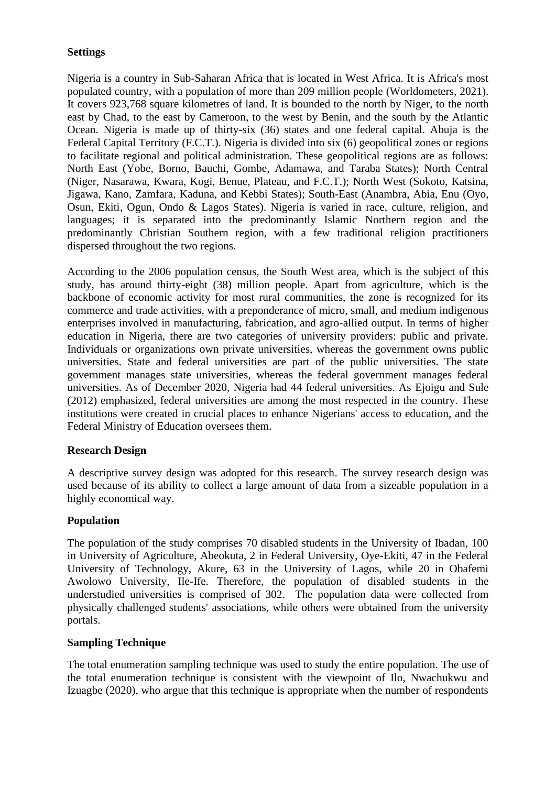# **Settings**

Nigeria is a country in Sub-Saharan Africa that is located in West Africa. It is Africa's most populated country, with a population of more than 209 million people (Worldometers, 2021). It covers 923,768 square kilometres of land. It is bounded to the north by Niger, to the north east by Chad, to the east by Cameroon, to the west by Benin, and the south by the Atlantic Ocean. Nigeria is made up of thirty-six (36) states and one federal capital. Abuja is the Federal Capital Territory (F.C.T.). Nigeria is divided into six (6) geopolitical zones or regions to facilitate regional and political administration. These geopolitical regions are as follows: North East (Yobe, Borno, Bauchi, Gombe, Adamawa, and Taraba States); North Central (Niger, Nasarawa, Kwara, Kogi, Benue, Plateau, and F.C.T.); North West (Sokoto, Katsina, Jigawa, Kano, Zamfara, Kaduna, and Kebbi States); South-East (Anambra, Abia, Enu (Oyo, Osun, Ekiti, Ogun, Ondo & Lagos States). Nigeria is varied in race, culture, religion, and languages; it is separated into the predominantly Islamic Northern region and the predominantly Christian Southern region, with a few traditional religion practitioners dispersed throughout the two regions.

According to the 2006 population census, the South West area, which is the subject of this study, has around thirty-eight (38) million people. Apart from agriculture, which is the backbone of economic activity for most rural communities, the zone is recognized for its commerce and trade activities, with a preponderance of micro, small, and medium indigenous enterprises involved in manufacturing, fabrication, and agro-allied output. In terms of higher education in Nigeria, there are two categories of university providers: public and private. Individuals or organizations own private universities, whereas the government owns public universities. State and federal universities are part of the public universities. The state government manages state universities, whereas the federal government manages federal universities. As of December 2020, Nigeria had 44 federal universities. As Ejoigu and Sule (2012) emphasized, federal universities are among the most respected in the country. These institutions were created in crucial places to enhance Nigerians' access to education, and the Federal Ministry of Education oversees them.

#### **Research Design**

A descriptive survey design was adopted for this research. The survey research design was used because of its ability to collect a large amount of data from a sizeable population in a highly economical way.

#### **Population**

The population of the study comprises 70 disabled students in the University of Ibadan, 100 in University of Agriculture, Abeokuta, 2 in Federal University, Oye-Ekiti, 47 in the Federal University of Technology, Akure, 63 in the University of Lagos, while 20 in Obafemi Awolowo University, Ile-Ife. Therefore, the population of disabled students in the understudied universities is comprised of 302. The population data were collected from physically challenged students' associations, while others were obtained from the university portals.

#### **Sampling Technique**

The total enumeration sampling technique was used to study the entire population. The use of the total enumeration technique is consistent with the viewpoint of Ilo, Nwachukwu and Izuagbe (2020), who argue that this technique is appropriate when the number of respondents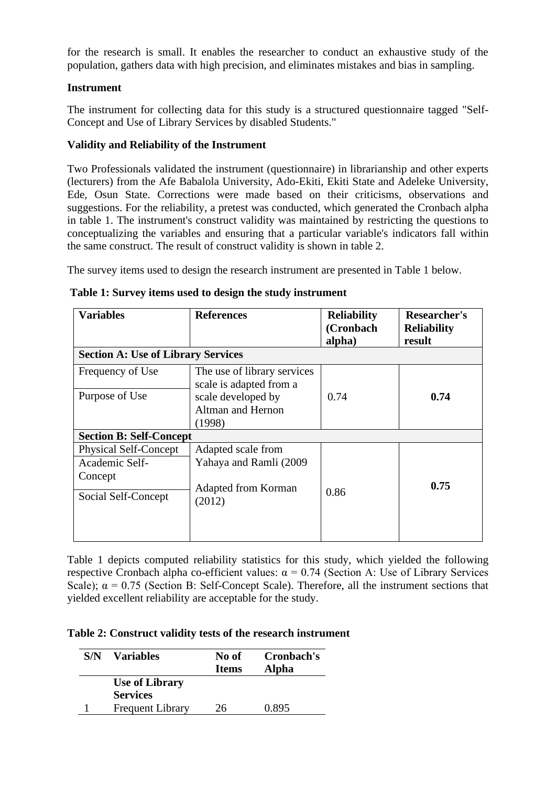for the research is small. It enables the researcher to conduct an exhaustive study of the population, gathers data with high precision, and eliminates mistakes and bias in sampling.

# **Instrument**

The instrument for collecting data for this study is a structured questionnaire tagged "Self-Concept and Use of Library Services by disabled Students."

# **Validity and Reliability of the Instrument**

Two Professionals validated the instrument (questionnaire) in librarianship and other experts (lecturers) from the Afe Babalola University, Ado-Ekiti, Ekiti State and Adeleke University, Ede, Osun State. Corrections were made based on their criticisms, observations and suggestions. For the reliability, a pretest was conducted, which generated the Cronbach alpha in table 1. The instrument's construct validity was maintained by restricting the questions to conceptualizing the variables and ensuring that a particular variable's indicators fall within the same construct. The result of construct validity is shown in table 2.

The survey items used to design the research instrument are presented in Table 1 below.

| <b>Variables</b>                          | <b>References</b>                                      | <b>Reliability</b><br>(Cronbach<br>alpha) | Researcher's<br><b>Reliability</b><br>result |  |
|-------------------------------------------|--------------------------------------------------------|-------------------------------------------|----------------------------------------------|--|
| <b>Section A: Use of Library Services</b> |                                                        |                                           |                                              |  |
| Frequency of Use                          | The use of library services<br>scale is adapted from a |                                           |                                              |  |
| Purpose of Use                            | scale developed by                                     | 0.74                                      | 0.74                                         |  |
|                                           | Altman and Hernon                                      |                                           |                                              |  |
|                                           | (1998)                                                 |                                           |                                              |  |
| <b>Section B: Self-Concept</b>            |                                                        |                                           |                                              |  |
| <b>Physical Self-Concept</b>              | Adapted scale from                                     |                                           |                                              |  |
| Academic Self-                            | Yahaya and Ramli (2009                                 |                                           |                                              |  |
| Concept                                   |                                                        |                                           |                                              |  |
| Social Self-Concept                       | Adapted from Korman<br>(2012)                          | 0.86                                      | 0.75                                         |  |
|                                           |                                                        |                                           |                                              |  |

|  |  |  |  | Table 1: Survey items used to design the study instrument |
|--|--|--|--|-----------------------------------------------------------|
|  |  |  |  |                                                           |

Table 1 depicts computed reliability statistics for this study, which yielded the following respective Cronbach alpha co-efficient values:  $\alpha = 0.74$  (Section A: Use of Library Services Scale);  $\alpha = 0.75$  (Section B: Self-Concept Scale). Therefore, all the instrument sections that yielded excellent reliability are acceptable for the study.

#### **Table 2: Construct validity tests of the research instrument**

| S/N | <b>Variables</b>                         | No of<br><b>Items</b> | Cronbach's<br>Alpha |
|-----|------------------------------------------|-----------------------|---------------------|
|     | <b>Use of Library</b><br><b>Services</b> |                       |                     |
|     | <b>Frequent Library</b>                  | 26                    | 0.895               |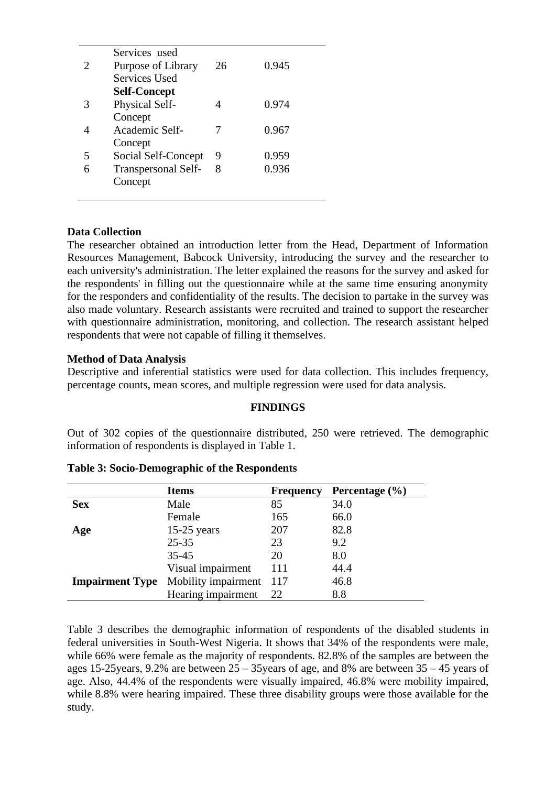|                             | Services used              |    |       |
|-----------------------------|----------------------------|----|-------|
| $\mathcal{D}_{\mathcal{A}}$ | Purpose of Library         | 26 | 0.945 |
|                             | <b>Services Used</b>       |    |       |
|                             | <b>Self-Concept</b>        |    |       |
| 3                           | Physical Self-             |    | 0.974 |
|                             | Concept                    |    |       |
|                             | Academic Self-             |    | 0.967 |
|                             | Concept                    |    |       |
| 5                           | Social Self-Concept        | 9  | 0.959 |
|                             | <b>Transpersonal Self-</b> | 8  | 0.936 |
|                             | Concept                    |    |       |
|                             |                            |    |       |

# **Data Collection**

The researcher obtained an introduction letter from the Head, Department of Information Resources Management, Babcock University, introducing the survey and the researcher to each university's administration. The letter explained the reasons for the survey and asked for the respondents' in filling out the questionnaire while at the same time ensuring anonymity for the responders and confidentiality of the results. The decision to partake in the survey was also made voluntary. Research assistants were recruited and trained to support the researcher with questionnaire administration, monitoring, and collection. The research assistant helped respondents that were not capable of filling it themselves.

# **Method of Data Analysis**

Descriptive and inferential statistics were used for data collection. This includes frequency, percentage counts, mean scores, and multiple regression were used for data analysis.

#### **FINDINGS**

Out of 302 copies of the questionnaire distributed, 250 were retrieved. The demographic information of respondents is displayed in Table 1.

|                        | <b>Items</b>        | <b>Frequency</b> | Percentage $(\% )$ |
|------------------------|---------------------|------------------|--------------------|
| <b>Sex</b>             | Male                | 85               | 34.0               |
|                        | Female              | 165              | 66.0               |
| Age                    | $15-25$ years       | 207              | 82.8               |
|                        | $25 - 35$           | 23               | 9.2                |
|                        | $35 - 45$           | 20               | 8.0                |
|                        | Visual impairment   | 111              | 44.4               |
| <b>Impairment Type</b> | Mobility impairment | 117              | 46.8               |
|                        | Hearing impairment  | 22               | 8.8                |

#### **Table 3: Socio-Demographic of the Respondents**

Table 3 describes the demographic information of respondents of the disabled students in federal universities in South-West Nigeria. It shows that 34% of the respondents were male, while 66% were female as the majority of respondents. 82.8% of the samples are between the ages 15-25years, 9.2% are between 25 – 35years of age, and 8% are between 35 – 45 years of age. Also, 44.4% of the respondents were visually impaired, 46.8% were mobility impaired, while 8.8% were hearing impaired. These three disability groups were those available for the study.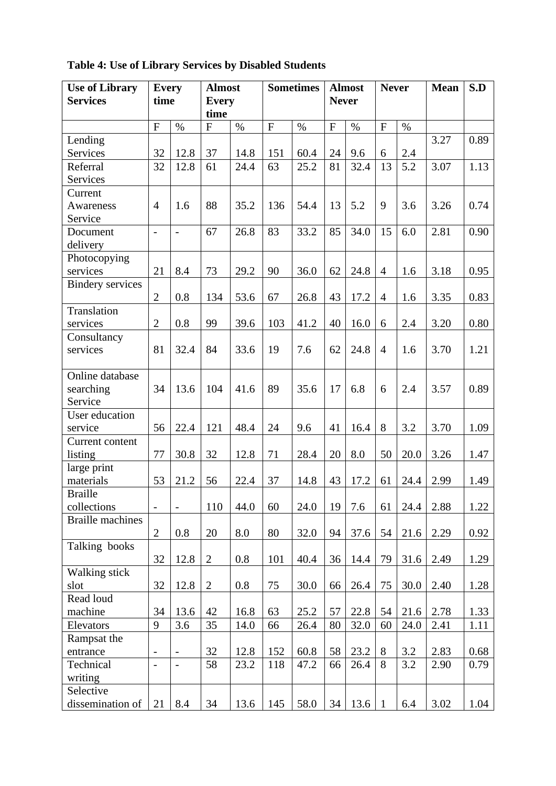| <b>Use of Library</b>   | <b>Every</b>      |                   | <b>Sometimes</b><br><b>Almost</b> |      |           |      |                | <b>Almost</b> | <b>Never</b>   |      | Mean | S.D  |
|-------------------------|-------------------|-------------------|-----------------------------------|------|-----------|------|----------------|---------------|----------------|------|------|------|
| <b>Services</b>         | time              |                   | <b>Every</b>                      |      |           |      | <b>Never</b>   |               |                |      |      |      |
|                         |                   |                   | time                              |      |           |      |                |               |                |      |      |      |
|                         | ${\bf F}$         | $\%$              | $\overline{F}$                    | $\%$ | ${\bf F}$ | $\%$ | $\overline{F}$ | $\%$          | $\mathbf{F}$   | $\%$ |      |      |
| Lending                 |                   |                   |                                   |      |           |      |                |               |                |      | 3.27 | 0.89 |
| Services                | 32                | 12.8              | 37                                | 14.8 | 151       | 60.4 | 24             | 9.6           | 6              | 2.4  |      |      |
| Referral                | 32                | 12.8              | 61                                | 24.4 | 63        | 25.2 | 81             | 32.4          | 13             | 5.2  | 3.07 | 1.13 |
| Services                |                   |                   |                                   |      |           |      |                |               |                |      |      |      |
| Current                 |                   |                   |                                   |      |           |      |                |               |                |      |      |      |
| Awareness               | $\overline{4}$    | 1.6               | 88                                | 35.2 | 136       | 54.4 | 13             | 5.2           | 9              | 3.6  | 3.26 | 0.74 |
| Service                 |                   |                   |                                   |      |           |      |                |               |                |      |      |      |
| Document                | $\overline{a}$    | $\overline{a}$    | 67                                | 26.8 | 83        | 33.2 | 85             | 34.0          | 15             | 6.0  | 2.81 | 0.90 |
| delivery                |                   |                   |                                   |      |           |      |                |               |                |      |      |      |
| Photocopying            |                   |                   |                                   |      |           |      |                |               |                |      |      |      |
| services                | 21                | 8.4               | 73                                | 29.2 | 90        | 36.0 | 62             | 24.8          | $\overline{4}$ | 1.6  | 3.18 | 0.95 |
| <b>Bindery services</b> |                   |                   |                                   |      |           |      |                |               |                |      |      |      |
|                         | $\overline{2}$    | 0.8               | 134                               | 53.6 | 67        | 26.8 | 43             | 17.2          | $\overline{4}$ | 1.6  | 3.35 | 0.83 |
| Translation             |                   |                   |                                   |      |           |      |                |               |                |      |      |      |
| services                | $\overline{2}$    | 0.8               | 99                                | 39.6 | 103       | 41.2 | 40             | 16.0          | 6              | 2.4  | 3.20 | 0.80 |
| Consultancy             |                   |                   |                                   |      |           |      |                |               |                |      |      |      |
| services                | 81                | 32.4              | 84                                | 33.6 | 19        | 7.6  | 62             | 24.8          | $\overline{4}$ | 1.6  | 3.70 | 1.21 |
|                         |                   |                   |                                   |      |           |      |                |               |                |      |      |      |
| Online database         |                   |                   |                                   |      |           |      |                |               |                |      |      |      |
| searching               | 34                | 13.6              | 104                               | 41.6 | 89        | 35.6 | 17             | 6.8           | 6              | 2.4  | 3.57 | 0.89 |
| Service                 |                   |                   |                                   |      |           |      |                |               |                |      |      |      |
| User education          |                   |                   |                                   |      |           |      |                |               |                |      |      |      |
| service                 | 56                | 22.4              | 121                               | 48.4 | 24        | 9.6  | 41             | 16.4          | 8              | 3.2  | 3.70 | 1.09 |
| Current content         |                   |                   |                                   |      |           |      |                |               |                |      |      |      |
| listing                 | 77                | 30.8              | 32                                | 12.8 | 71        | 28.4 | 20             | 8.0           | 50             | 20.0 | 3.26 | 1.47 |
| large print             |                   |                   |                                   |      |           |      |                |               |                |      |      |      |
| materials               | 53                | 21.2              | 56                                | 22.4 | 37        | 14.8 | 43             | 17.2          | 61             | 24.4 | 2.99 | 1.49 |
| <b>Braille</b>          |                   |                   |                                   |      |           |      |                |               |                |      |      |      |
| collections             | $\qquad \qquad -$ | $\blacksquare$    | 110                               | 44.0 | 60        | 24.0 | 19             | 7.6           | 61             | 24.4 | 2.88 | 1.22 |
| <b>Braille</b> machines |                   |                   |                                   |      |           |      |                |               |                |      |      |      |
|                         | $\overline{2}$    | 0.8               | 20                                | 8.0  | 80        | 32.0 | 94             | 37.6          | 54             | 21.6 | 2.29 | 0.92 |
| Talking books           |                   |                   |                                   |      |           |      |                |               |                |      |      |      |
|                         | 32                | 12.8              | $\overline{2}$                    | 0.8  | 101       | 40.4 | 36             | 14.4          | 79             | 31.6 | 2.49 | 1.29 |
| Walking stick           |                   |                   |                                   |      |           |      |                |               |                |      |      |      |
| slot                    | 32                | 12.8              | $\overline{2}$                    | 0.8  | 75        | 30.0 | 66             | 26.4          | 75             | 30.0 | 2.40 | 1.28 |
| Read loud               |                   |                   |                                   |      |           |      |                |               |                |      |      |      |
| machine                 | 34                | 13.6              | 42                                | 16.8 | 63        | 25.2 | 57             | 22.8          | 54             | 21.6 | 2.78 | 1.33 |
| Elevators               | 9                 | 3.6               | 35                                | 14.0 | 66        | 26.4 | 80             | 32.0          | 60             | 24.0 | 2.41 | 1.11 |
| Rampsat the             |                   |                   |                                   |      |           |      |                |               |                |      |      |      |
| entrance                | $\qquad \qquad -$ | $\qquad \qquad -$ | 32                                | 12.8 | 152       | 60.8 | 58             | 23.2          | 8              | 3.2  | 2.83 | 0.68 |
| Technical               | $\qquad \qquad -$ | $\overline{a}$    | 58                                | 23.2 | 118       | 47.2 | 66             | 26.4          | 8              | 3.2  | 2.90 | 0.79 |
| writing                 |                   |                   |                                   |      |           |      |                |               |                |      |      |      |
| Selective               |                   |                   |                                   |      |           |      |                |               |                |      |      |      |
| dissemination of        | 21                | 8.4               | 34                                | 13.6 | 145       | 58.0 | 34             | 13.6          | 1              | 6.4  | 3.02 | 1.04 |

**Table 4: Use of Library Services by Disabled Students**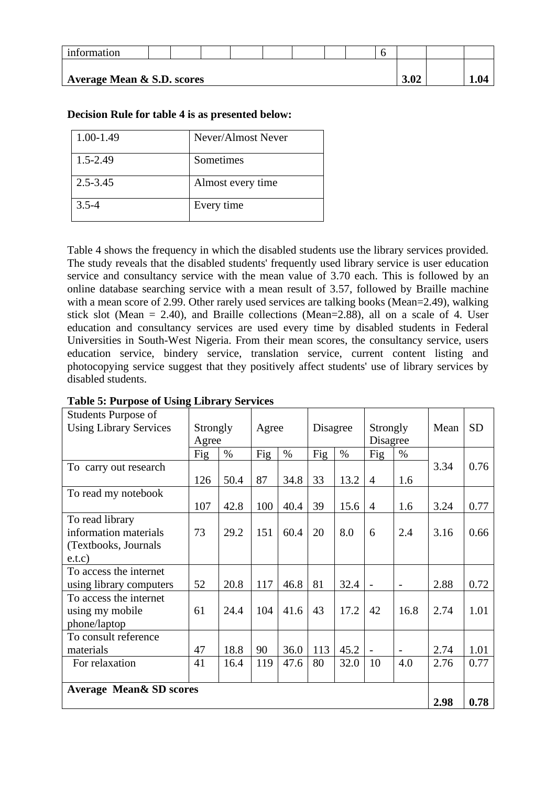| 1nformation                           |  |  |  |  |  |  |  |      |      |  |  |
|---------------------------------------|--|--|--|--|--|--|--|------|------|--|--|
| <b>Average Mean &amp; S.D. scores</b> |  |  |  |  |  |  |  | 3.02 | 1.V4 |  |  |

# **Decision Rule for table 4 is as presented below:**

| 1.00-1.49    | Never/Almost Never |
|--------------|--------------------|
| $1.5 - 2.49$ | Sometimes          |
| $2.5 - 3.45$ | Almost every time  |
| $3.5 - 4$    | Every time         |

Table 4 shows the frequency in which the disabled students use the library services provided. The study reveals that the disabled students' frequently used library service is user education service and consultancy service with the mean value of 3.70 each. This is followed by an online database searching service with a mean result of 3.57, followed by Braille machine with a mean score of 2.99. Other rarely used services are talking books (Mean=2.49), walking stick slot (Mean = 2.40), and Braille collections (Mean=2.88), all on a scale of 4. User education and consultancy services are used every time by disabled students in Federal Universities in South-West Nigeria. From their mean scores, the consultancy service, users education service, bindery service, translation service, current content listing and photocopying service suggest that they positively affect students' use of library services by disabled students.

| <b>Students Purpose of</b><br><b>Using Library Services</b> | Strongly<br>Agree |      |     | Agree |     | Disagree |                | Strongly<br>Disagree     |      | <b>SD</b> |
|-------------------------------------------------------------|-------------------|------|-----|-------|-----|----------|----------------|--------------------------|------|-----------|
|                                                             | Fig               | $\%$ | Fig | $\%$  | Fig | $\%$     | Fig            | %                        |      |           |
| To carry out research                                       |                   |      |     |       |     |          |                |                          | 3.34 | 0.76      |
|                                                             | 126               | 50.4 | 87  | 34.8  | 33  | 13.2     | $\overline{4}$ | 1.6                      |      |           |
| To read my notebook                                         |                   |      |     |       |     |          |                |                          |      |           |
|                                                             | 107               | 42.8 | 100 | 40.4  | 39  | 15.6     | $\overline{4}$ | 1.6                      | 3.24 | 0.77      |
| To read library                                             |                   |      |     |       |     |          |                |                          |      |           |
| information materials                                       | 73                | 29.2 | 151 | 60.4  | 20  | 8.0      | 6              | 2.4                      | 3.16 | 0.66      |
| (Textbooks, Journals)                                       |                   |      |     |       |     |          |                |                          |      |           |
| e.t.c)                                                      |                   |      |     |       |     |          |                |                          |      |           |
| To access the internet                                      |                   |      |     |       |     |          |                |                          |      |           |
| using library computers                                     | 52                | 20.8 | 117 | 46.8  | 81  | 32.4     |                | $\overline{\phantom{a}}$ | 2.88 | 0.72      |
| To access the internet                                      |                   |      |     |       |     |          |                |                          |      |           |
| using my mobile                                             | 61                | 24.4 | 104 | 41.6  | 43  | 17.2     | 42             | 16.8                     | 2.74 | 1.01      |
| phone/laptop                                                |                   |      |     |       |     |          |                |                          |      |           |
| To consult reference                                        |                   |      |     |       |     |          |                |                          |      |           |
| materials                                                   | 47                | 18.8 | 90  | 36.0  | 113 | 45.2     |                | $\overline{\phantom{a}}$ | 2.74 | 1.01      |
| For relaxation                                              | 41                | 16.4 | 119 | 47.6  | 80  | 32.0     | 10             | 4.0                      | 2.76 | 0.77      |
|                                                             |                   |      |     |       |     |          |                |                          |      |           |
| <b>Average Mean &amp; SD scores</b>                         |                   |      |     |       |     |          |                |                          |      |           |
|                                                             |                   |      |     |       |     |          |                |                          | 2.98 | 0.78      |

#### **Table 5: Purpose of Using Library Services**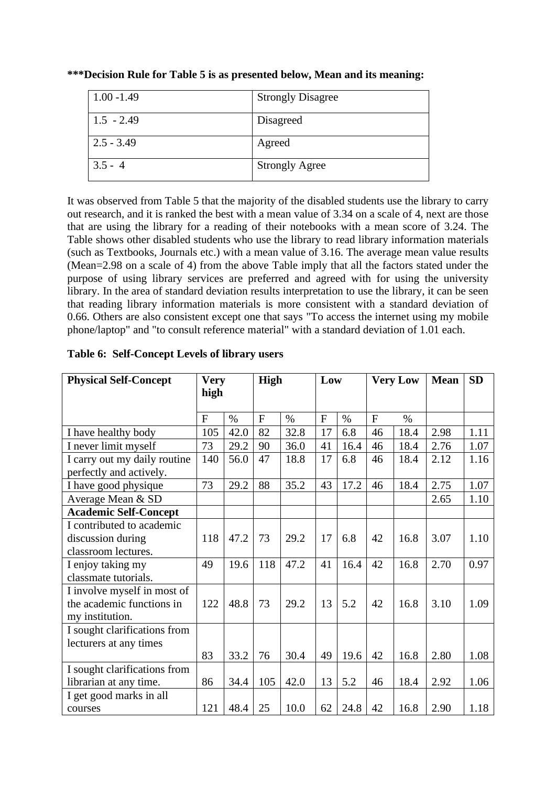| $1.00 - 1.49$ | <b>Strongly Disagree</b> |
|---------------|--------------------------|
| $1.5 - 2.49$  | Disagreed                |
| $2.5 - 3.49$  | Agreed                   |
| $3.5 - 4$     | <b>Strongly Agree</b>    |

**\*\*\*Decision Rule for Table 5 is as presented below, Mean and its meaning:**

It was observed from Table 5 that the majority of the disabled students use the library to carry out research, and it is ranked the best with a mean value of 3.34 on a scale of 4, next are those that are using the library for a reading of their notebooks with a mean score of 3.24. The Table shows other disabled students who use the library to read library information materials (such as Textbooks, Journals etc.) with a mean value of 3.16. The average mean value results (Mean=2.98 on a scale of 4) from the above Table imply that all the factors stated under the purpose of using library services are preferred and agreed with for using the university library. In the area of standard deviation results interpretation to use the library, it can be seen that reading library information materials is more consistent with a standard deviation of 0.66. Others are also consistent except one that says "To access the internet using my mobile phone/laptop" and "to consult reference material" with a standard deviation of 1.01 each.

| <b>Physical Self-Concept</b> | <b>Very</b><br>high |               | High         |      | Low            |               |    | <b>Very Low</b> | <b>Mean</b> | <b>SD</b> |
|------------------------------|---------------------|---------------|--------------|------|----------------|---------------|----|-----------------|-------------|-----------|
|                              | $\mathbf{F}$        | $\frac{0}{0}$ | $\mathbf{F}$ | $\%$ | $\overline{F}$ | $\frac{0}{0}$ | F  | $\frac{0}{0}$   |             |           |
| I have healthy body          | 105                 | 42.0          | 82           | 32.8 | 17             | 6.8           | 46 | 18.4            | 2.98        | 1.11      |
| I never limit myself         | 73                  | 29.2          | 90           | 36.0 | 41             | 16.4          | 46 | 18.4            | 2.76        | 1.07      |
| I carry out my daily routine | 140                 | 56.0          | 47           | 18.8 | 17             | 6.8           | 46 | 18.4            | 2.12        | 1.16      |
| perfectly and actively.      |                     |               |              |      |                |               |    |                 |             |           |
| I have good physique         | 73                  | 29.2          | 88           | 35.2 | 43             | 17.2          | 46 | 18.4            | 2.75        | 1.07      |
| Average Mean & SD            |                     |               |              |      |                |               |    |                 | 2.65        | 1.10      |
| <b>Academic Self-Concept</b> |                     |               |              |      |                |               |    |                 |             |           |
| I contributed to academic    |                     |               |              |      |                |               |    |                 |             |           |
| discussion during            | 118                 | 47.2          | 73           | 29.2 | 17             | 6.8           | 42 | 16.8            | 3.07        | 1.10      |
| classroom lectures.          |                     |               |              |      |                |               |    |                 |             |           |
| I enjoy taking my            | 49                  | 19.6          | 118          | 47.2 | 41             | 16.4          | 42 | 16.8            | 2.70        | 0.97      |
| classmate tutorials.         |                     |               |              |      |                |               |    |                 |             |           |
| I involve myself in most of  |                     |               |              |      |                |               |    |                 |             |           |
| the academic functions in    | 122                 | 48.8          | 73           | 29.2 | 13             | 5.2           | 42 | 16.8            | 3.10        | 1.09      |
| my institution.              |                     |               |              |      |                |               |    |                 |             |           |
| I sought clarifications from |                     |               |              |      |                |               |    |                 |             |           |
| lecturers at any times       |                     |               |              |      |                |               |    |                 |             |           |
|                              | 83                  | 33.2          | 76           | 30.4 | 49             | 19.6          | 42 | 16.8            | 2.80        | 1.08      |
| I sought clarifications from |                     |               |              |      |                |               |    |                 |             |           |
| librarian at any time.       | 86                  | 34.4          | 105          | 42.0 | 13             | 5.2           | 46 | 18.4            | 2.92        | 1.06      |
| I get good marks in all      |                     |               |              |      |                |               |    |                 |             |           |
| courses                      | 121                 | 48.4          | 25           | 10.0 | 62             | 24.8          | 42 | 16.8            | 2.90        | 1.18      |

**Table 6: Self-Concept Levels of library users**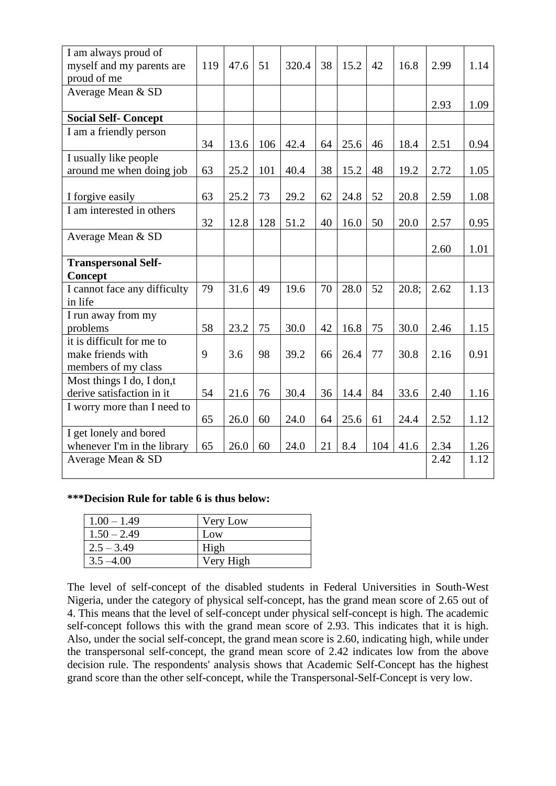| I am always proud of<br>myself and my parents are<br>proud of me | 119 | 47.6 | 51  | 320.4 | 38 | 15.2 | 42  | 16.8  | 2.99 | 1.14 |
|------------------------------------------------------------------|-----|------|-----|-------|----|------|-----|-------|------|------|
| Average Mean & SD                                                |     |      |     |       |    |      |     |       |      |      |
|                                                                  |     |      |     |       |    |      |     |       | 2.93 | 1.09 |
| <b>Social Self- Concept</b>                                      |     |      |     |       |    |      |     |       |      |      |
| I am a friendly person                                           |     |      |     |       |    |      |     |       |      |      |
|                                                                  | 34  | 13.6 | 106 | 42.4  | 64 | 25.6 | 46  | 18.4  | 2.51 | 0.94 |
| I usually like people                                            |     |      |     |       |    |      |     |       |      |      |
| around me when doing job                                         | 63  | 25.2 | 101 | 40.4  | 38 | 15.2 | 48  | 19.2  | 2.72 | 1.05 |
|                                                                  |     |      |     |       |    |      |     |       |      |      |
| I forgive easily                                                 | 63  | 25.2 | 73  | 29.2  | 62 | 24.8 | 52  | 20.8  | 2.59 | 1.08 |
| I am interested in others                                        |     |      |     |       |    |      |     |       |      |      |
|                                                                  | 32  | 12.8 | 128 | 51.2  | 40 | 16.0 | 50  | 20.0  | 2.57 | 0.95 |
| Average Mean & SD                                                |     |      |     |       |    |      |     |       |      |      |
|                                                                  |     |      |     |       |    |      |     |       | 2.60 | 1.01 |
| <b>Transpersonal Self-</b>                                       |     |      |     |       |    |      |     |       |      |      |
| <b>Concept</b>                                                   |     |      |     |       |    |      |     |       |      |      |
| I cannot face any difficulty                                     | 79  | 31.6 | 49  | 19.6  | 70 | 28.0 | 52  | 20.8; | 2.62 | 1.13 |
| in life                                                          |     |      |     |       |    |      |     |       |      |      |
| I run away from my                                               |     |      |     |       |    |      |     |       |      |      |
| problems                                                         | 58  | 23.2 | 75  | 30.0  | 42 | 16.8 | 75  | 30.0  | 2.46 | 1.15 |
| it is difficult for me to                                        |     |      |     |       |    |      |     |       |      |      |
| make friends with                                                | 9   | 3.6  | 98  | 39.2  | 66 | 26.4 | 77  | 30.8  | 2.16 | 0.91 |
| members of my class                                              |     |      |     |       |    |      |     |       |      |      |
| Most things I do, I don,t                                        |     |      |     |       |    |      |     |       |      |      |
| derive satisfaction in it                                        | 54  | 21.6 | 76  | 30.4  | 36 | 14.4 | 84  | 33.6  | 2.40 | 1.16 |
| I worry more than I need to                                      |     |      |     |       |    |      |     |       |      |      |
|                                                                  | 65  | 26.0 | 60  | 24.0  | 64 | 25.6 | 61  | 24.4  | 2.52 | 1.12 |
| I get lonely and bored                                           |     |      |     |       |    |      |     |       |      |      |
| whenever I'm in the library                                      | 65  | 26.0 | 60  | 24.0  | 21 | 8.4  | 104 | 41.6  | 2.34 | 1.26 |
| Average Mean & SD                                                |     |      |     |       |    |      |     |       | 2.42 | 1.12 |
|                                                                  |     |      |     |       |    |      |     |       |      |      |

#### **\*\*\*Decision Rule for table 6 is thus below:**

| $1.00 - 1.49$ | Very Low  |
|---------------|-----------|
| $1.50 - 2.49$ | Low       |
| $2.5 - 3.49$  | High      |
| $3.5 - 4.00$  | Very High |

The level of self-concept of the disabled students in Federal Universities in South-West Nigeria, under the category of physical self-concept, has the grand mean score of 2.65 out of 4. This means that the level of self-concept under physical self-concept is high. The academic self-concept follows this with the grand mean score of 2.93. This indicates that it is high. Also, under the social self-concept, the grand mean score is 2.60, indicating high, while under the transpersonal self-concept, the grand mean score of 2.42 indicates low from the above decision rule. The respondents' analysis shows that Academic Self-Concept has the highest grand score than the other self-concept, while the Transpersonal-Self-Concept is very low.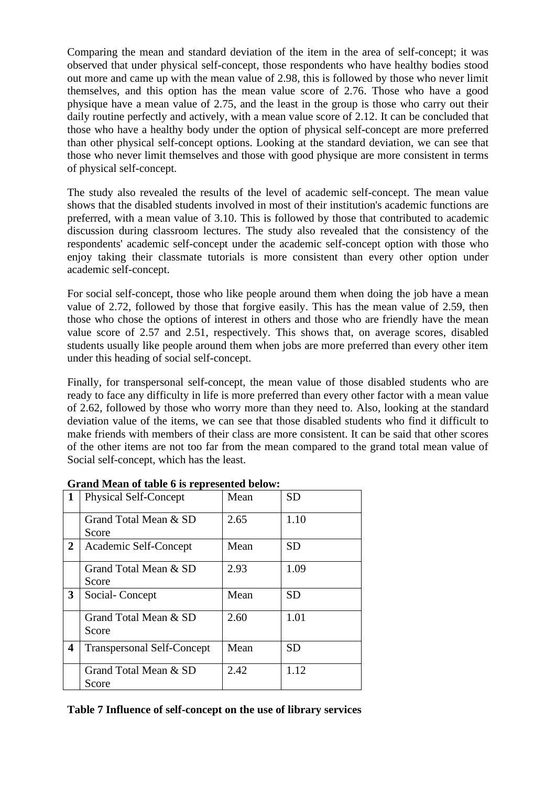Comparing the mean and standard deviation of the item in the area of self-concept; it was observed that under physical self-concept, those respondents who have healthy bodies stood out more and came up with the mean value of 2.98, this is followed by those who never limit themselves, and this option has the mean value score of 2.76. Those who have a good physique have a mean value of 2.75, and the least in the group is those who carry out their daily routine perfectly and actively, with a mean value score of 2.12. It can be concluded that those who have a healthy body under the option of physical self-concept are more preferred than other physical self-concept options. Looking at the standard deviation, we can see that those who never limit themselves and those with good physique are more consistent in terms of physical self-concept.

The study also revealed the results of the level of academic self-concept. The mean value shows that the disabled students involved in most of their institution's academic functions are preferred, with a mean value of 3.10. This is followed by those that contributed to academic discussion during classroom lectures. The study also revealed that the consistency of the respondents' academic self-concept under the academic self-concept option with those who enjoy taking their classmate tutorials is more consistent than every other option under academic self-concept.

For social self-concept, those who like people around them when doing the job have a mean value of 2.72, followed by those that forgive easily. This has the mean value of 2.59, then those who chose the options of interest in others and those who are friendly have the mean value score of 2.57 and 2.51, respectively. This shows that, on average scores, disabled students usually like people around them when jobs are more preferred than every other item under this heading of social self-concept.

Finally, for transpersonal self-concept, the mean value of those disabled students who are ready to face any difficulty in life is more preferred than every other factor with a mean value of 2.62, followed by those who worry more than they need to. Also, looking at the standard deviation value of the items, we can see that those disabled students who find it difficult to make friends with members of their class are more consistent. It can be said that other scores of the other items are not too far from the mean compared to the grand total mean value of Social self-concept, which has the least.

| 1 | <b>Physical Self-Concept</b>      | Mean | <b>SD</b> |
|---|-----------------------------------|------|-----------|
|   | Grand Total Mean & SD<br>Score    | 2.65 | 1.10      |
| 2 | Academic Self-Concept             | Mean | <b>SD</b> |
|   | Grand Total Mean & SD<br>Score    | 2.93 | 1.09      |
| 3 | Social-Concept                    | Mean | <b>SD</b> |
|   | Grand Total Mean & SD<br>Score    | 2.60 | 1.01      |
| 4 | <b>Transpersonal Self-Concept</b> | Mean | <b>SD</b> |
|   | Grand Total Mean & SD<br>Score    | 2.42 | 1.12      |

#### **Grand Mean of table 6 is represented below:**

#### **Table 7 Influence of self-concept on the use of library services**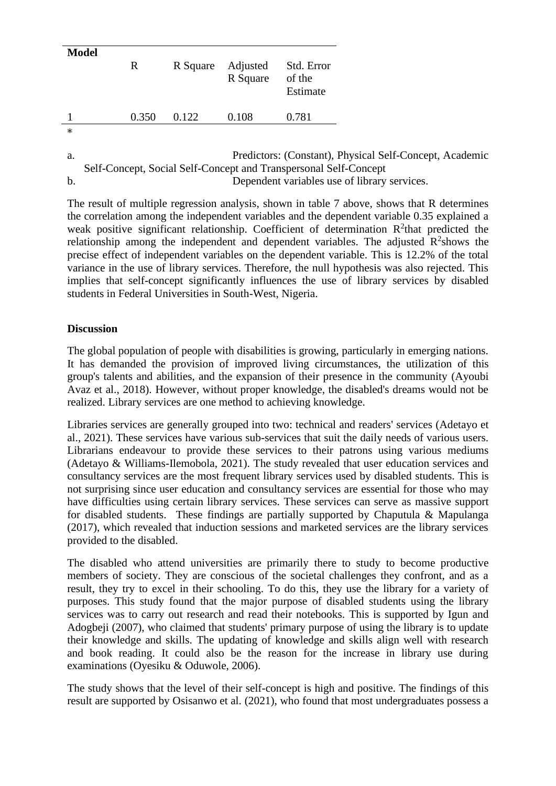| <b>Model</b> | R     | R Square | Adjusted<br>R Square | Std. Error<br>of the<br>Estimate |
|--------------|-------|----------|----------------------|----------------------------------|
|              | 0.350 | 0.122    | 0.108                | 0.781                            |
| 宋            |       |          |                      |                                  |

a. Predictors: (Constant), Physical Self-Concept, Academic Self-Concept, Social Self-Concept and Transpersonal Self-Concept b. Dependent variables use of library services.

The result of multiple regression analysis, shown in table 7 above, shows that R determines the correlation among the independent variables and the dependent variable 0.35 explained a weak positive significant relationship. Coefficient of determination  $R^2$ that predicted the relationship among the independent and dependent variables. The adjusted  $R^2$ shows the precise effect of independent variables on the dependent variable. This is 12.2% of the total variance in the use of library services. Therefore, the null hypothesis was also rejected. This implies that self-concept significantly influences the use of library services by disabled students in Federal Universities in South-West, Nigeria.

# **Discussion**

The global population of people with disabilities is growing, particularly in emerging nations. It has demanded the provision of improved living circumstances, the utilization of this group's talents and abilities, and the expansion of their presence in the community (Ayoubi Avaz et al., 2018). However, without proper knowledge, the disabled's dreams would not be realized. Library services are one method to achieving knowledge.

Libraries services are generally grouped into two: technical and readers' services (Adetayo et al., 2021). These services have various sub-services that suit the daily needs of various users. Librarians endeavour to provide these services to their patrons using various mediums (Adetayo & Williams-Ilemobola, 2021). The study revealed that user education services and consultancy services are the most frequent library services used by disabled students. This is not surprising since user education and consultancy services are essential for those who may have difficulties using certain library services. These services can serve as massive support for disabled students. These findings are partially supported by Chaputula & Mapulanga (2017), which revealed that induction sessions and marketed services are the library services provided to the disabled.

The disabled who attend universities are primarily there to study to become productive members of society. They are conscious of the societal challenges they confront, and as a result, they try to excel in their schooling. To do this, they use the library for a variety of purposes. This study found that the major purpose of disabled students using the library services was to carry out research and read their notebooks. This is supported by Igun and Adogbeji (2007), who claimed that students' primary purpose of using the library is to update their knowledge and skills. The updating of knowledge and skills align well with research and book reading. It could also be the reason for the increase in library use during examinations (Oyesiku & Oduwole, 2006).

The study shows that the level of their self-concept is high and positive. The findings of this result are supported by Osisanwo et al. (2021), who found that most undergraduates possess a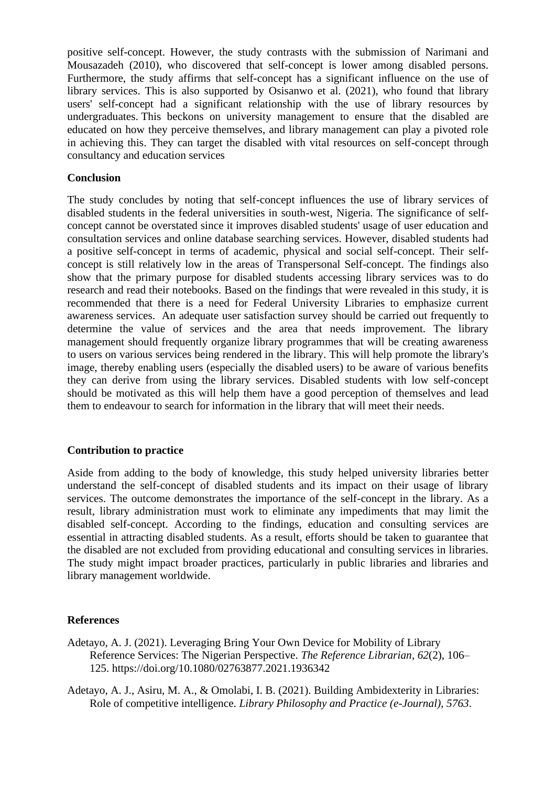positive self-concept. However, the study contrasts with the submission of Narimani and Mousazadeh (2010), who discovered that self-concept is lower among disabled persons. Furthermore, the study affirms that self-concept has a significant influence on the use of library services. This is also supported by Osisanwo et al. (2021), who found that library users' self-concept had a significant relationship with the use of library resources by undergraduates. This beckons on university management to ensure that the disabled are educated on how they perceive themselves, and library management can play a pivoted role in achieving this. They can target the disabled with vital resources on self-concept through consultancy and education services

#### **Conclusion**

The study concludes by noting that self-concept influences the use of library services of disabled students in the federal universities in south-west, Nigeria. The significance of selfconcept cannot be overstated since it improves disabled students' usage of user education and consultation services and online database searching services. However, disabled students had a positive self-concept in terms of academic, physical and social self-concept. Their selfconcept is still relatively low in the areas of Transpersonal Self-concept. The findings also show that the primary purpose for disabled students accessing library services was to do research and read their notebooks. Based on the findings that were revealed in this study, it is recommended that there is a need for Federal University Libraries to emphasize current awareness services. An adequate user satisfaction survey should be carried out frequently to determine the value of services and the area that needs improvement. The library management should frequently organize library programmes that will be creating awareness to users on various services being rendered in the library. This will help promote the library's image, thereby enabling users (especially the disabled users) to be aware of various benefits they can derive from using the library services. Disabled students with low self-concept should be motivated as this will help them have a good perception of themselves and lead them to endeavour to search for information in the library that will meet their needs.

#### **Contribution to practice**

Aside from adding to the body of knowledge, this study helped university libraries better understand the self-concept of disabled students and its impact on their usage of library services. The outcome demonstrates the importance of the self-concept in the library. As a result, library administration must work to eliminate any impediments that may limit the disabled self-concept. According to the findings, education and consulting services are essential in attracting disabled students. As a result, efforts should be taken to guarantee that the disabled are not excluded from providing educational and consulting services in libraries. The study might impact broader practices, particularly in public libraries and libraries and library management worldwide.

#### **References**

- Adetayo, A. J. (2021). Leveraging Bring Your Own Device for Mobility of Library Reference Services: The Nigerian Perspective. *The Reference Librarian*, *62*(2), 106– 125. https://doi.org/10.1080/02763877.2021.1936342
- Adetayo, A. J., Asiru, M. A., & Omolabi, I. B. (2021). Building Ambidexterity in Libraries: Role of competitive intelligence. *Library Philosophy and Practice (e-Journal)*, *5763*.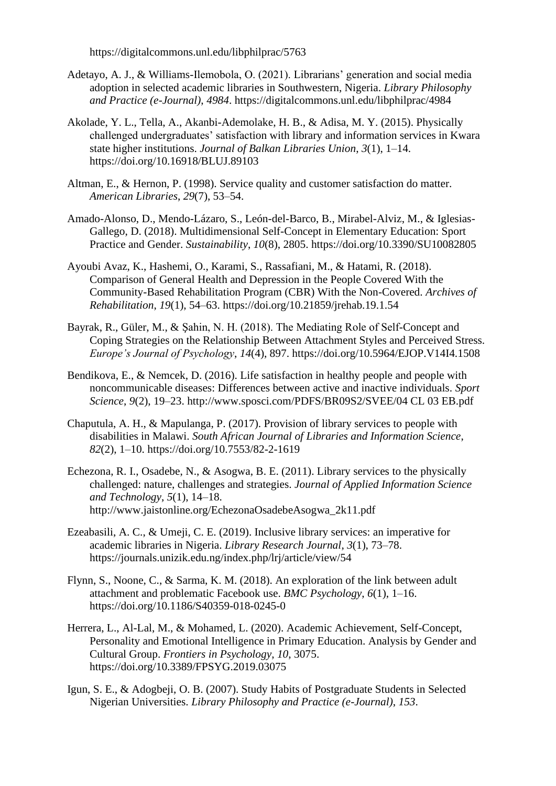https://digitalcommons.unl.edu/libphilprac/5763

- Adetayo, A. J., & Williams-Ilemobola, O. (2021). Librarians' generation and social media adoption in selected academic libraries in Southwestern, Nigeria. *Library Philosophy and Practice (e-Journal)*, *4984*. https://digitalcommons.unl.edu/libphilprac/4984
- Akolade, Y. L., Tella, A., Akanbi-Ademolake, H. B., & Adisa, M. Y. (2015). Physically challenged undergraduates' satisfaction with library and information services in Kwara state higher institutions. *Journal of Balkan Libraries Union*, *3*(1), 1–14. https://doi.org/10.16918/BLUJ.89103
- Altman, E., & Hernon, P. (1998). Service quality and customer satisfaction do matter. *American Libraries*, *29*(7), 53–54.
- Amado-Alonso, D., Mendo-Lázaro, S., León-del-Barco, B., Mirabel-Alviz, M., & Iglesias-Gallego, D. (2018). Multidimensional Self-Concept in Elementary Education: Sport Practice and Gender. *Sustainability*, *10*(8), 2805. https://doi.org/10.3390/SU10082805
- Ayoubi Avaz, K., Hashemi, O., Karami, S., Rassafiani, M., & Hatami, R. (2018). Comparison of General Health and Depression in the People Covered With the Community-Based Rehabilitation Program (CBR) With the Non-Covered. *Archives of Rehabilitation*, *19*(1), 54–63. https://doi.org/10.21859/jrehab.19.1.54
- Bayrak, R., Güler, M., & Şahin, N. H. (2018). The Mediating Role of Self-Concept and Coping Strategies on the Relationship Between Attachment Styles and Perceived Stress. *Europe's Journal of Psychology*, *14*(4), 897. https://doi.org/10.5964/EJOP.V14I4.1508
- Bendikova, E., & Nemcek, D. (2016). Life satisfaction in healthy people and people with noncommunicable diseases: Differences between active and inactive individuals. *Sport Science*, *9*(2), 19–23. http://www.sposci.com/PDFS/BR09S2/SVEE/04 CL 03 EB.pdf
- Chaputula, A. H., & Mapulanga, P. (2017). Provision of library services to people with disabilities in Malawi. *South African Journal of Libraries and Information Science*, *82*(2), 1–10. https://doi.org/10.7553/82-2-1619
- Echezona, R. I., Osadebe, N., & Asogwa, B. E. (2011). Library services to the physically challenged: nature, challenges and strategies. *Journal of Applied Information Science and Technology*, *5*(1), 14–18. http://www.jaistonline.org/EchezonaOsadebeAsogwa\_2k11.pdf
- Ezeabasili, A. C., & Umeji, C. E. (2019). Inclusive library services: an imperative for academic libraries in Nigeria. *Library Research Journal*, *3*(1), 73–78. https://journals.unizik.edu.ng/index.php/lrj/article/view/54
- Flynn, S., Noone, C., & Sarma, K. M. (2018). An exploration of the link between adult attachment and problematic Facebook use. *BMC Psychology*, *6*(1), 1–16. https://doi.org/10.1186/S40359-018-0245-0
- Herrera, L., Al-Lal, M., & Mohamed, L. (2020). Academic Achievement, Self-Concept, Personality and Emotional Intelligence in Primary Education. Analysis by Gender and Cultural Group. *Frontiers in Psychology*, *10*, 3075. https://doi.org/10.3389/FPSYG.2019.03075
- Igun, S. E., & Adogbeji, O. B. (2007). Study Habits of Postgraduate Students in Selected Nigerian Universities. *Library Philosophy and Practice (e-Journal)*, *153*.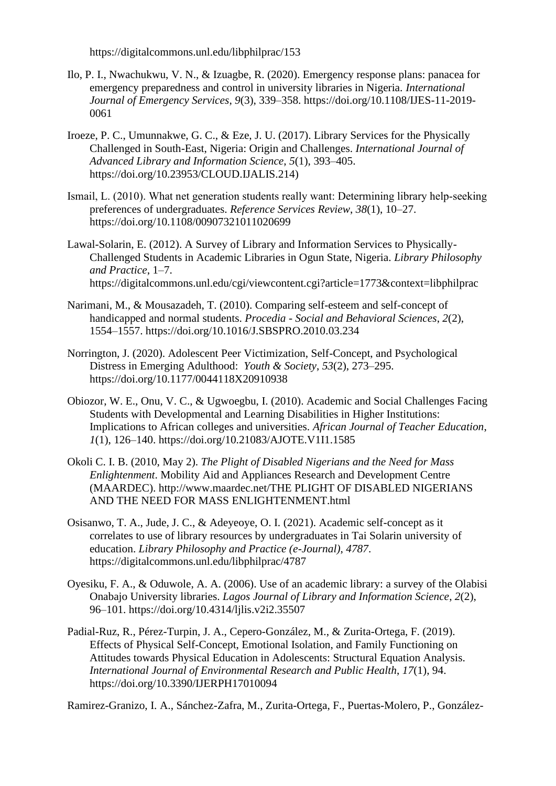https://digitalcommons.unl.edu/libphilprac/153

- Ilo, P. I., Nwachukwu, V. N., & Izuagbe, R. (2020). Emergency response plans: panacea for emergency preparedness and control in university libraries in Nigeria. *International Journal of Emergency Services*, *9*(3), 339–358. https://doi.org/10.1108/IJES-11-2019- 0061
- Iroeze, P. C., Umunnakwe, G. C., & Eze, J. U. (2017). Library Services for the Physically Challenged in South-East, Nigeria: Origin and Challenges. *International Journal of Advanced Library and Information Science*, *5*(1), 393–405. https://doi.org/10.23953/CLOUD.IJALIS.214)
- Ismail, L. (2010). What net generation students really want: Determining library help‐seeking preferences of undergraduates. *Reference Services Review*, *38*(1), 10–27. https://doi.org/10.1108/00907321011020699
- Lawal-Solarin, E. (2012). A Survey of Library and Information Services to Physically-Challenged Students in Academic Libraries in Ogun State, Nigeria. *Library Philosophy and Practice*, 1–7. https://digitalcommons.unl.edu/cgi/viewcontent.cgi?article=1773&context=libphilprac
- Narimani, M., & Mousazadeh, T. (2010). Comparing self-esteem and self-concept of handicapped and normal students. *Procedia - Social and Behavioral Sciences*, *2*(2), 1554–1557. https://doi.org/10.1016/J.SBSPRO.2010.03.234
- Norrington, J. (2020). Adolescent Peer Victimization, Self-Concept, and Psychological Distress in Emerging Adulthood: *Youth & Society*, *53*(2), 273–295. https://doi.org/10.1177/0044118X20910938
- Obiozor, W. E., Onu, V. C., & Ugwoegbu, I. (2010). Academic and Social Challenges Facing Students with Developmental and Learning Disabilities in Higher Institutions: Implications to African colleges and universities. *African Journal of Teacher Education*, *1*(1), 126–140. https://doi.org/10.21083/AJOTE.V1I1.1585
- Okoli C. I. B. (2010, May 2). *The Plight of Disabled Nigerians and the Need for Mass Enlightenment*. Mobility Aid and Appliances Research and Development Centre (MAARDEC). http://www.maardec.net/THE PLIGHT OF DISABLED NIGERIANS AND THE NEED FOR MASS ENLIGHTENMENT.html
- Osisanwo, T. A., Jude, J. C., & Adeyeoye, O. I. (2021). Academic self-concept as it correlates to use of library resources by undergraduates in Tai Solarin university of education. *Library Philosophy and Practice (e-Journal)*, *4787*. https://digitalcommons.unl.edu/libphilprac/4787
- Oyesiku, F. A., & Oduwole, A. A. (2006). Use of an academic library: a survey of the Olabisi Onabajo University libraries. *Lagos Journal of Library and Information Science*, *2*(2), 96–101. https://doi.org/10.4314/ljlis.v2i2.35507
- Padial-Ruz, R., Pérez-Turpin, J. A., Cepero-González, M., & Zurita-Ortega, F. (2019). Effects of Physical Self-Concept, Emotional Isolation, and Family Functioning on Attitudes towards Physical Education in Adolescents: Structural Equation Analysis. *International Journal of Environmental Research and Public Health*, *17*(1), 94. https://doi.org/10.3390/IJERPH17010094

Ramirez-Granizo, I. A., Sánchez-Zafra, M., Zurita-Ortega, F., Puertas-Molero, P., González-